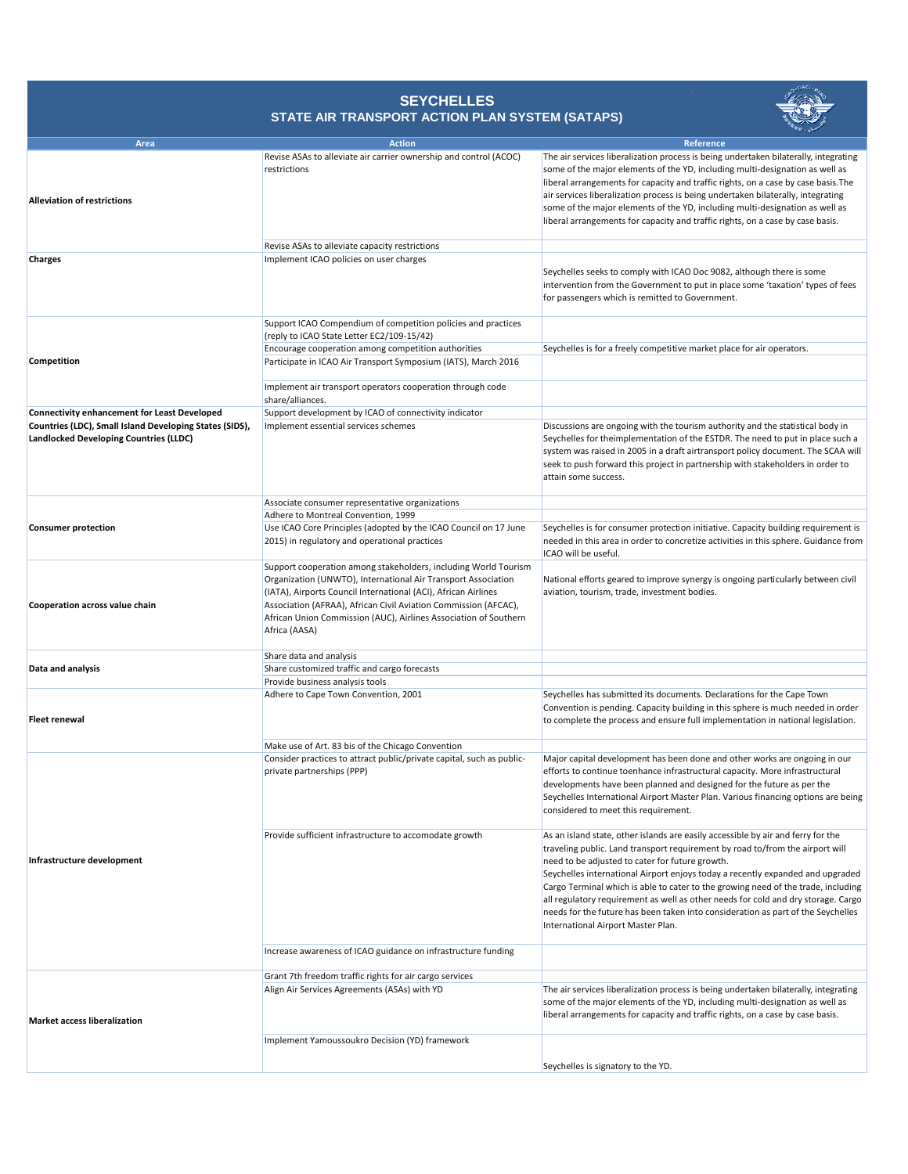| <b>Area</b>                                                                                              | <b>Action</b>                                                                                                                                                                                                                                                                                                                                              | Reference                                                                                                                                                                                                                                                                                                                                                                                                                                                                                                                                                                                                  |
|----------------------------------------------------------------------------------------------------------|------------------------------------------------------------------------------------------------------------------------------------------------------------------------------------------------------------------------------------------------------------------------------------------------------------------------------------------------------------|------------------------------------------------------------------------------------------------------------------------------------------------------------------------------------------------------------------------------------------------------------------------------------------------------------------------------------------------------------------------------------------------------------------------------------------------------------------------------------------------------------------------------------------------------------------------------------------------------------|
| <b>Alleviation of restrictions</b>                                                                       | Revise ASAs to alleviate air carrier ownership and control (ACOC)<br>restrictions                                                                                                                                                                                                                                                                          | The air services liberalization process is being undertaken bilaterally, integrating<br>some of the major elements of the YD, including multi-designation as well as<br>liberal arrangements for capacity and traffic rights, on a case by case basis. The<br>air services liberalization process is being undertaken bilaterally, integrating<br>some of the major elements of the YD, including multi-designation as well as<br>liberal arrangements for capacity and traffic rights, on a case by case basis.                                                                                           |
|                                                                                                          | Revise ASAs to alleviate capacity restrictions                                                                                                                                                                                                                                                                                                             |                                                                                                                                                                                                                                                                                                                                                                                                                                                                                                                                                                                                            |
| <b>Charges</b>                                                                                           | Implement ICAO policies on user charges                                                                                                                                                                                                                                                                                                                    | Seychelles seeks to comply with ICAO Doc 9082, although there is some<br>intervention from the Government to put in place some 'taxation' types of fees<br>for passengers which is remitted to Government.                                                                                                                                                                                                                                                                                                                                                                                                 |
| Competition                                                                                              | Support ICAO Compendium of competition policies and practices<br>(reply to ICAO State Letter EC2/109-15/42)                                                                                                                                                                                                                                                |                                                                                                                                                                                                                                                                                                                                                                                                                                                                                                                                                                                                            |
|                                                                                                          | Encourage cooperation among competition authorities                                                                                                                                                                                                                                                                                                        | Seychelles is for a freely competitive market place for air operators.                                                                                                                                                                                                                                                                                                                                                                                                                                                                                                                                     |
|                                                                                                          | Participate in ICAO Air Transport Symposium (IATS), March 2016                                                                                                                                                                                                                                                                                             |                                                                                                                                                                                                                                                                                                                                                                                                                                                                                                                                                                                                            |
|                                                                                                          | Implement air transport operators cooperation through code<br>share/alliances.                                                                                                                                                                                                                                                                             |                                                                                                                                                                                                                                                                                                                                                                                                                                                                                                                                                                                                            |
| <b>Connectivity enhancement for Least Developed</b>                                                      | Support development by ICAO of connectivity indicator                                                                                                                                                                                                                                                                                                      |                                                                                                                                                                                                                                                                                                                                                                                                                                                                                                                                                                                                            |
| Countries (LDC), Small Island Developing States (SIDS),<br><b>Landlocked Developing Countries (LLDC)</b> | Implement essential services schemes                                                                                                                                                                                                                                                                                                                       | Discussions are ongoing with the tourism authority and the statistical body in<br>Seychelles for theimplementation of the ESTDR. The need to put in place such a<br>system was raised in 2005 in a draft airtransport policy document. The SCAA will<br>seek to push forward this project in partnership with stakeholders in order to<br>attain some success.                                                                                                                                                                                                                                             |
| <b>Consumer protection</b>                                                                               | Associate consumer representative organizations                                                                                                                                                                                                                                                                                                            |                                                                                                                                                                                                                                                                                                                                                                                                                                                                                                                                                                                                            |
|                                                                                                          | Adhere to Montreal Convention, 1999<br>Use ICAO Core Principles (adopted by the ICAO Council on 17 June<br>2015) in regulatory and operational practices                                                                                                                                                                                                   | Seychelles is for consumer protection initiative. Capacity building requirement is<br>needed in this area in order to concretize activities in this sphere. Guidance from<br>ICAO will be useful.                                                                                                                                                                                                                                                                                                                                                                                                          |
| <b>Cooperation across value chain</b>                                                                    | Support cooperation among stakeholders, including World Tourism<br>Organization (UNWTO), International Air Transport Association<br>(IATA), Airports Council International (ACI), African Airlines<br>Association (AFRAA), African Civil Aviation Commission (AFCAC),<br>African Union Commission (AUC), Airlines Association of Southern<br>Africa (AASA) | National efforts geared to improve synergy is ongoing particularly between civil<br>aviation, tourism, trade, investment bodies.                                                                                                                                                                                                                                                                                                                                                                                                                                                                           |
|                                                                                                          | Share data and analysis                                                                                                                                                                                                                                                                                                                                    |                                                                                                                                                                                                                                                                                                                                                                                                                                                                                                                                                                                                            |
| Data and analysis                                                                                        | Share customized traffic and cargo forecasts                                                                                                                                                                                                                                                                                                               |                                                                                                                                                                                                                                                                                                                                                                                                                                                                                                                                                                                                            |
|                                                                                                          | Provide business analysis tools                                                                                                                                                                                                                                                                                                                            |                                                                                                                                                                                                                                                                                                                                                                                                                                                                                                                                                                                                            |
| <b>Fleet renewal</b>                                                                                     | Adhere to Cape Town Convention, 2001                                                                                                                                                                                                                                                                                                                       | Seychelles has submitted its documents. Declarations for the Cape Town<br>Convention is pending. Capacity building in this sphere is much needed in order<br>to complete the process and ensure full implementation in national legislation.                                                                                                                                                                                                                                                                                                                                                               |
|                                                                                                          | Make use of Art. 83 bis of the Chicago Convention                                                                                                                                                                                                                                                                                                          |                                                                                                                                                                                                                                                                                                                                                                                                                                                                                                                                                                                                            |
| Infrastructure development                                                                               | Consider practices to attract public/private capital, such as public-<br>private partnerships (PPP)                                                                                                                                                                                                                                                        | Major capital development has been done and other works are ongoing in our<br>efforts to continue toenhance infrastructural capacity. More infrastructural<br>developments have been planned and designed for the future as per the<br>Seychelles International Airport Master Plan. Various financing options are being<br>considered to meet this requirement.                                                                                                                                                                                                                                           |
|                                                                                                          | Provide sufficient infrastructure to accomodate growth                                                                                                                                                                                                                                                                                                     | As an island state, other islands are easily accessible by air and ferry for the<br>traveling public. Land transport requirement by road to/from the airport will<br>need to be adjusted to cater for future growth.<br>Seychelles international Airport enjoys today a recently expanded and upgraded<br>Cargo Terminal which is able to cater to the growing need of the trade, including<br>all regulatory requirement as well as other needs for cold and dry storage. Cargo<br>needs for the future has been taken into consideration as part of the Seychelles<br>International Airport Master Plan. |
|                                                                                                          | Increase awareness of ICAO guidance on infrastructure funding                                                                                                                                                                                                                                                                                              |                                                                                                                                                                                                                                                                                                                                                                                                                                                                                                                                                                                                            |
|                                                                                                          | Grant 7th freedom traffic rights for air cargo services                                                                                                                                                                                                                                                                                                    |                                                                                                                                                                                                                                                                                                                                                                                                                                                                                                                                                                                                            |
| <b>Market access liberalization</b>                                                                      | Align Air Services Agreements (ASAs) with YD                                                                                                                                                                                                                                                                                                               | The air services liberalization process is being undertaken bilaterally, integrating<br>some of the major elements of the YD, including multi-designation as well as<br>liberal arrangements for capacity and traffic rights, on a case by case basis.                                                                                                                                                                                                                                                                                                                                                     |
|                                                                                                          | Implement Yamoussoukro Decision (YD) framework                                                                                                                                                                                                                                                                                                             | Seychelles is signatory to the YD.                                                                                                                                                                                                                                                                                                                                                                                                                                                                                                                                                                         |

## **SEYCHELLES STATE AIR TRANSPORT ACTION PLAN SYSTEM (SATAPS)**